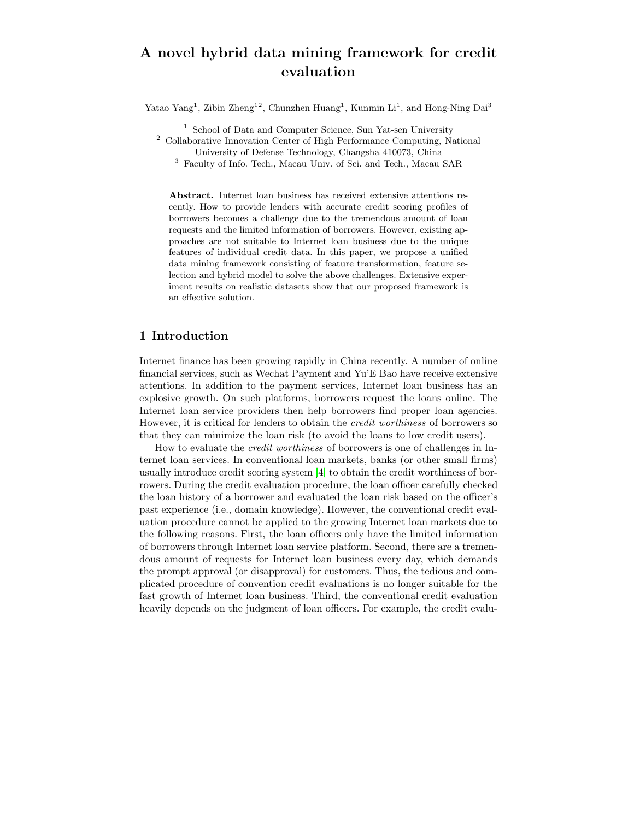# A novel hybrid data mining framework for credit evaluation

Yatao Yang<sup>1</sup>, Zibin Zheng<sup>12</sup>, Chunzhen Huang<sup>1</sup>, Kunmin Li<sup>1</sup>, and Hong-Ning Dai<sup>3</sup>

<sup>1</sup> School of Data and Computer Science, Sun Yat-sen University

<sup>2</sup> Collaborative Innovation Center of High Performance Computing, National

University of Defense Technology, Changsha 410073, China

<sup>3</sup> Faculty of Info. Tech., Macau Univ. of Sci. and Tech., Macau SAR

Abstract. Internet loan business has received extensive attentions recently. How to provide lenders with accurate credit scoring profiles of borrowers becomes a challenge due to the tremendous amount of loan requests and the limited information of borrowers. However, existing approaches are not suitable to Internet loan business due to the unique features of individual credit data. In this paper, we propose a unified data mining framework consisting of feature transformation, feature selection and hybrid model to solve the above challenges. Extensive experiment results on realistic datasets show that our proposed framework is an effective solution.

# 1 Introduction

Internet finance has been growing rapidly in China recently. A number of online financial services, such as Wechat Payment and Yu'E Bao have receive extensive attentions. In addition to the payment services, Internet loan business has an explosive growth. On such platforms, borrowers request the loans online. The Internet loan service providers then help borrowers find proper loan agencies. However, it is critical for lenders to obtain the credit worthiness of borrowers so that they can minimize the loan risk (to avoid the loans to low credit users).

How to evaluate the credit worthiness of borrowers is one of challenges in Internet loan services. In conventional loan markets, banks (or other small firms) usually introduce credit scoring system [\[4\]](#page-9-0) to obtain the credit worthiness of borrowers. During the credit evaluation procedure, the loan officer carefully checked the loan history of a borrower and evaluated the loan risk based on the officer's past experience (i.e., domain knowledge). However, the conventional credit evaluation procedure cannot be applied to the growing Internet loan markets due to the following reasons. First, the loan officers only have the limited information of borrowers through Internet loan service platform. Second, there are a tremendous amount of requests for Internet loan business every day, which demands the prompt approval (or disapproval) for customers. Thus, the tedious and complicated procedure of convention credit evaluations is no longer suitable for the fast growth of Internet loan business. Third, the conventional credit evaluation heavily depends on the judgment of loan officers. For example, the credit evalu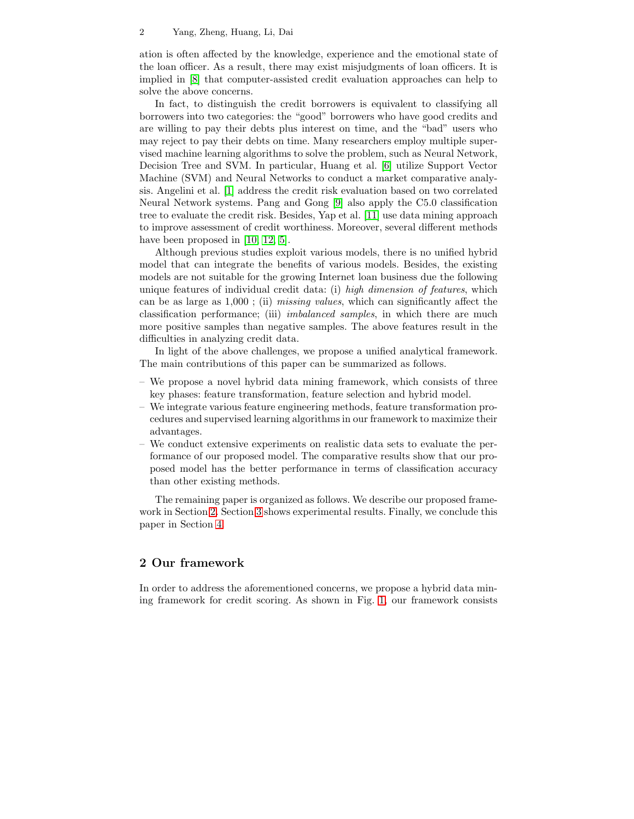ation is often affected by the knowledge, experience and the emotional state of the loan officer. As a result, there may exist misjudgments of loan officers. It is implied in [\[8\]](#page-9-1) that computer-assisted credit evaluation approaches can help to solve the above concerns.

In fact, to distinguish the credit borrowers is equivalent to classifying all borrowers into two categories: the "good" borrowers who have good credits and are willing to pay their debts plus interest on time, and the "bad" users who may reject to pay their debts on time. Many researchers employ multiple supervised machine learning algorithms to solve the problem, such as Neural Network, Decision Tree and SVM. In particular, Huang et al. [\[6\]](#page-9-2) utilize Support Vector Machine (SVM) and Neural Networks to conduct a market comparative analysis. Angelini et al. [\[1\]](#page-9-3) address the credit risk evaluation based on two correlated Neural Network systems. Pang and Gong [\[9\]](#page-9-4) also apply the C5.0 classification tree to evaluate the credit risk. Besides, Yap et al. [\[11\]](#page-9-5) use data mining approach to improve assessment of credit worthiness. Moreover, several different methods have been proposed in [\[10,](#page-9-6) [12,](#page-9-7) [5\]](#page-9-8).

Although previous studies exploit various models, there is no unified hybrid model that can integrate the benefits of various models. Besides, the existing models are not suitable for the growing Internet loan business due the following unique features of individual credit data: (i) high dimension of features, which can be as large as 1,000 ; (ii) missing values, which can significantly affect the classification performance; (iii) imbalanced samples, in which there are much more positive samples than negative samples. The above features result in the difficulties in analyzing credit data.

In light of the above challenges, we propose a unified analytical framework. The main contributions of this paper can be summarized as follows.

- We propose a novel hybrid data mining framework, which consists of three key phases: feature transformation, feature selection and hybrid model.
- We integrate various feature engineering methods, feature transformation procedures and supervised learning algorithms in our framework to maximize their advantages.
- We conduct extensive experiments on realistic data sets to evaluate the performance of our proposed model. The comparative results show that our proposed model has the better performance in terms of classification accuracy than other existing methods.

The remaining paper is organized as follows. We describe our proposed framework in Section [2.](#page-1-0) Section [3](#page-6-0) shows experimental results. Finally, we conclude this paper in Section [4.](#page-8-0)

# <span id="page-1-0"></span>2 Our framework

In order to address the aforementioned concerns, we propose a hybrid data mining framework for credit scoring. As shown in Fig. [1,](#page-2-0) our framework consists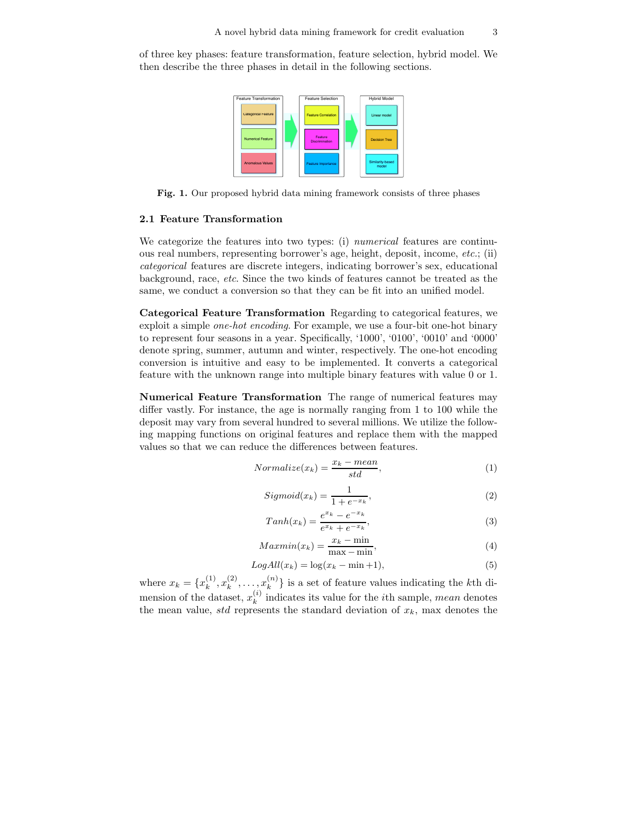of three key phases: feature transformation, feature selection, hybrid model. We then describe the three phases in detail in the following sections.



<span id="page-2-0"></span>Fig. 1. Our proposed hybrid data mining framework consists of three phases

### 2.1 Feature Transformation

We categorize the features into two types: (i) *numerical* features are continuous real numbers, representing borrower's age, height, deposit, income, etc.; (ii) categorical features are discrete integers, indicating borrower's sex, educational background, race, etc. Since the two kinds of features cannot be treated as the same, we conduct a conversion so that they can be fit into an unified model.

Categorical Feature Transformation Regarding to categorical features, we exploit a simple one-hot encoding. For example, we use a four-bit one-hot binary to represent four seasons in a year. Specifically, '1000', '0100', '0010' and '0000' denote spring, summer, autumn and winter, respectively. The one-hot encoding conversion is intuitive and easy to be implemented. It converts a categorical feature with the unknown range into multiple binary features with value 0 or 1.

Numerical Feature Transformation The range of numerical features may differ vastly. For instance, the age is normally ranging from 1 to 100 while the deposit may vary from several hundred to several millions. We utilize the following mapping functions on original features and replace them with the mapped values so that we can reduce the differences between features.

$$
Normalize(x_k) = \frac{x_k - mean}{std},
$$
\n<sup>(1)</sup>

$$
Sigmoid(x_k) = \frac{1}{1 + e^{-x_k}},\tag{2}
$$

$$
Tanh(x_k) = \frac{e^{x_k} - e^{-x_k}}{e^{x_k} + e^{-x_k}},
$$
\n(3)

<span id="page-2-1"></span>
$$
Maxmin(x_k) = \frac{x_k - \min}{\max - \min},
$$
\n(4)

$$
LogAll(x_k) = \log(x_k - \min + 1),\tag{5}
$$

where  $x_k = \{x_k^{(1)}\}$  $x_k^{(1)}, x_k^{(2)}$  $x_k^{(2)}, \ldots, x_k^{(n)}$  ${k \choose k}$  is a set of feature values indicating the k<sup>th</sup> dimension of the dataset,  $x_k^{(i)}$  indicates its value for the *i*<sup>th</sup> sample, *mean* denotes the mean value, std represents the standard deviation of  $x_k$ , max denotes the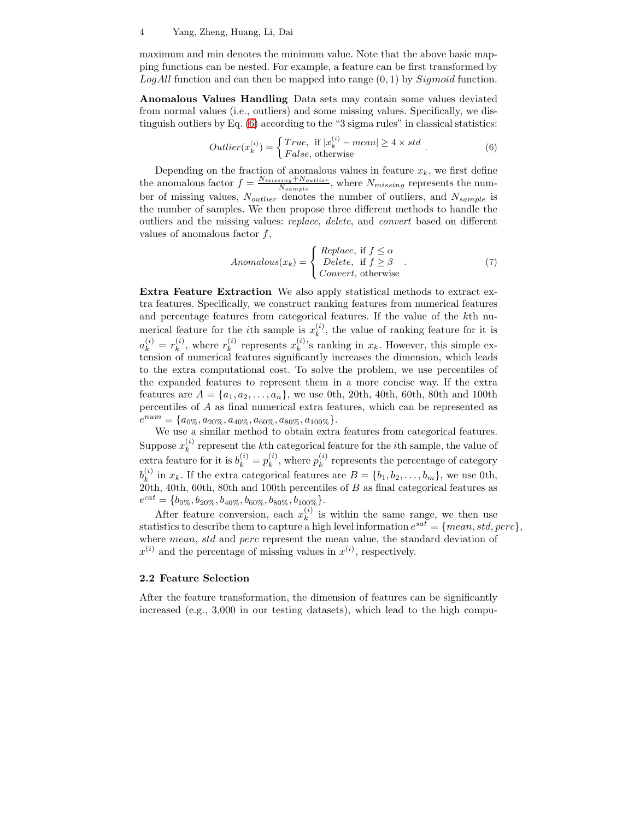maximum and min denotes the minimum value. Note that the above basic mapping functions can be nested. For example, a feature can be first transformed by *LogAll* function and can then be mapped into range  $(0, 1)$  by *Sigmoid* function.

Anomalous Values Handling Data sets may contain some values deviated from normal values (i.e., outliers) and some missing values. Specifically, we distinguish outliers by Eq. [\(6\)](#page-3-0) according to the "3 sigma rules" in classical statistics:

<span id="page-3-0"></span>
$$
Outlier(x_k^{(i)}) = \begin{cases} True, & \text{if } |x_k^{(i)} - mean| \ge 4 \times std \\ False, & \text{otherwise} \end{cases}
$$
 (6)

Depending on the fraction of anomalous values in feature  $x_k$ , we first define the anomalous factor  $f = \frac{N_{missing} + N_{outlier}}{N_{current}}$  $\frac{N_{simpl}}{N_{sample}}$ , where  $N_{missing}$  represents the number of missing values,  $N_{outlier}$  denotes the number of outliers, and  $N_{sample}$  is the number of samples. We then propose three different methods to handle the outliers and the missing values: replace, delete, and convert based on different values of anomalous factor f,

$$
Anomalous(x_k) = \begin{cases} Replace, \text{ if } f \le \alpha \\ Delete, \text{ if } f \ge \beta \\ Convert, \text{ otherwise} \end{cases} \tag{7}
$$

Extra Feature Extraction We also apply statistical methods to extract extra features. Specifically, we construct ranking features from numerical features and percentage features from categorical features. If the value of the kth numerical feature for the *i*th sample is  $x_k^{(i)}$ , the value of ranking feature for it is  $a_k^{(i)} = r_k^{(i)}$ , where  $r_k^{(i)}$  represents  $x_k^{(i)}$ 's ranking in  $x_k$ . However, this simple extension of numerical features significantly increases the dimension, which leads to the extra computational cost. To solve the problem, we use percentiles of the expanded features to represent them in a more concise way. If the extra features are  $A = \{a_1, a_2, ..., a_n\}$ , we use 0th, 20th, 40th, 60th, 80th and 100th percentiles of A as final numerical extra features, which can be represented as  $e^{num} = \{a_{0\%,} a_{20\%,} a_{40\%,} a_{60\%,} a_{80\%,} a_{100\%}\}.$ 

We use a similar method to obtain extra features from categorical features. Suppose  $x_k^{(i)}$  $k<sup>(t)</sup>$  represent the k<sup>th</sup> categorical feature for the *i*th sample, the value of extra feature for it is  $b_k^{(i)} = p_k^{(i)}$  $\binom{i}{k}$ , where  $p_k^{(i)}$  $k^{(i)}$  represents the percentage of category  $b_k^{(i)}$  in  $x_k$ . If the extra categorical features are  $B = \{b_1, b_2, \ldots, b_m\}$ , we use 0th, 20th, 40th, 60th, 80th and 100th percentiles of  $B$  as final categorical features as  $e^{cat} = \{b_{0\%,} b_{20\%,} b_{40\%,} b_{60\%,} b_{80\%,} b_{100\%}\}.$ 

After feature conversion, each  $x_k^{(i)}$  is within the same range, we then use statistics to describe them to capture a high level information  $e^{sat} = \{mean, std, perc\}$ , where *mean*, std and *perc* represent the mean value, the standard deviation of  $x^{(i)}$  and the percentage of missing values in  $x^{(i)}$ , respectively.

#### 2.2 Feature Selection

After the feature transformation, the dimension of features can be significantly increased (e.g., 3,000 in our testing datasets), which lead to the high compu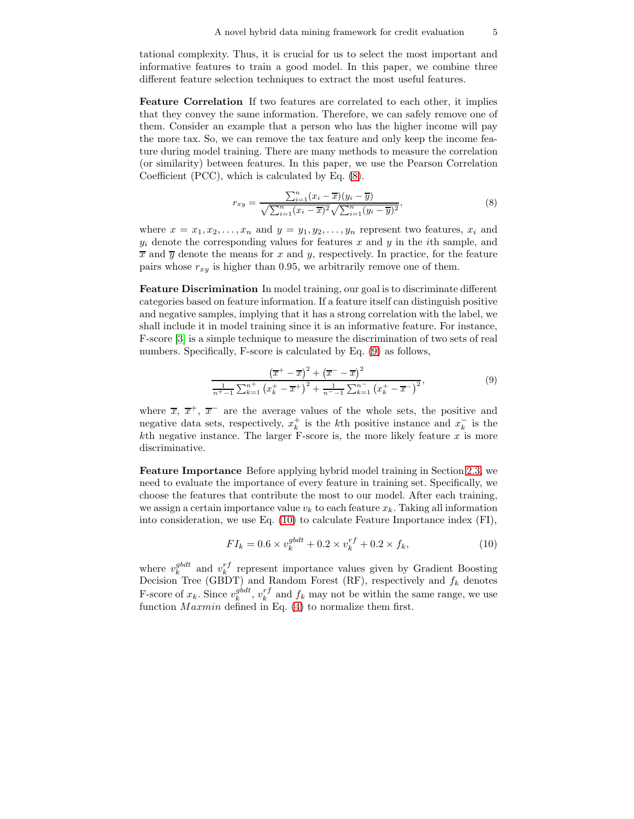tational complexity. Thus, it is crucial for us to select the most important and informative features to train a good model. In this paper, we combine three different feature selection techniques to extract the most useful features.

Feature Correlation If two features are correlated to each other, it implies that they convey the same information. Therefore, we can safely remove one of them. Consider an example that a person who has the higher income will pay the more tax. So, we can remove the tax feature and only keep the income feature during model training. There are many methods to measure the correlation (or similarity) between features. In this paper, we use the Pearson Correlation Coefficient (PCC), which is calculated by Eq. [\(8\)](#page-4-0).

<span id="page-4-0"></span>
$$
r_{xy} = \frac{\sum_{i=1}^{n} (x_i - \overline{x})(y_i - \overline{y})}{\sqrt{\sum_{i=1}^{n} (x_i - \overline{x})^2} \sqrt{\sum_{i=1}^{n} (y_i - \overline{y})^2}},
$$
(8)

where  $x = x_1, x_2, \ldots, x_n$  and  $y = y_1, y_2, \ldots, y_n$  represent two features,  $x_i$  and  $y_i$  denote the corresponding values for features x and y in the *i*th sample, and  $\overline{x}$  and  $\overline{y}$  denote the means for x and y, respectively. In practice, for the feature pairs whose  $r_{xy}$  is higher than 0.95, we arbitrarily remove one of them.

Feature Discrimination In model training, our goal is to discriminate different categories based on feature information. If a feature itself can distinguish positive and negative samples, implying that it has a strong correlation with the label, we shall include it in model training since it is an informative feature. For instance, F-score [\[3\]](#page-9-9) is a simple technique to measure the discrimination of two sets of real numbers. Specifically, F-score is calculated by Eq. [\(9\)](#page-4-1) as follows,

<span id="page-4-1"></span>
$$
\frac{\left(\overline{x}^{+}-\overline{x}\right)^{2}+\left(\overline{x}^{-}-\overline{x}\right)^{2}}{\frac{1}{n^{+}-1}\sum_{k=1}^{n^{+}}\left(x_{k}^{+}-\overline{x}^{+}\right)^{2}+\frac{1}{n^{--}-1}\sum_{k=1}^{n^{-}}\left(x_{k}^{+}-\overline{x}^{-}\right)^{2}},\tag{9}
$$

where  $\overline{x}$ ,  $\overline{x}$ <sup>+</sup>,  $\overline{x}$ <sup>-</sup> are the average values of the whole sets, the positive and negative data sets, respectively,  $x_k^+$  is the k<sup>th</sup> positive instance and  $x_k^-$  is the  $k$ th negative instance. The larger F-score is, the more likely feature x is more discriminative.

Feature Importance Before applying hybrid model training in Section [2.3,](#page-5-0) we need to evaluate the importance of every feature in training set. Specifically, we choose the features that contribute the most to our model. After each training, we assign a certain importance value  $v_k$  to each feature  $x_k$ . Taking all information into consideration, we use Eq. [\(10\)](#page-4-2) to calculate Feature Importance index (FI),

<span id="page-4-2"></span>
$$
FI_k = 0.6 \times v_k^{gbdt} + 0.2 \times v_k^{rf} + 0.2 \times f_k,
$$
\n(10)

where  $v_k^{gbdt}$  and  $v_k^{rf}$  represent importance values given by Gradient Boosting Decision Tree (GBDT) and Random Forest (RF), respectively and  $f_k$  denotes F-score of  $x_k$ . Since  $v_k^{gbdt}$ ,  $v_k^{rf}$  and  $f_k$  may not be within the same range, we use function  $Maxmin$  defined in Eq. [\(4\)](#page-2-1) to normalize them first.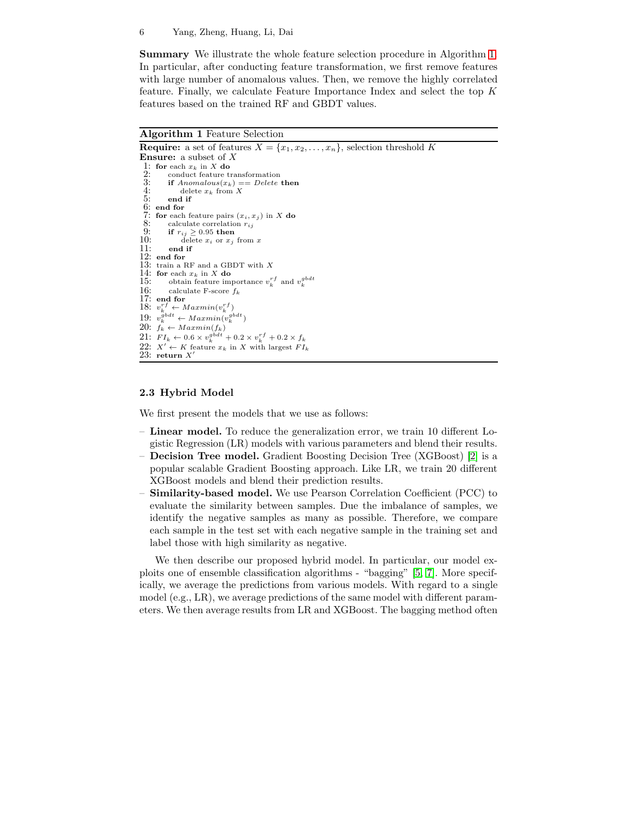Summary We illustrate the whole feature selection procedure in Algorithm [1.](#page-5-1) In particular, after conducting feature transformation, we first remove features with large number of anomalous values. Then, we remove the highly correlated feature. Finally, we calculate Feature Importance Index and select the top K features based on the trained RF and GBDT values.

### <span id="page-5-1"></span>Algorithm 1 Feature Selection

| <b>Require:</b> a set of features $X = \{x_1, x_2, \ldots, x_n\}$ , selection threshold K             |  |  |  |  |
|-------------------------------------------------------------------------------------------------------|--|--|--|--|
| <b>Ensure:</b> a subset of X                                                                          |  |  |  |  |
| 1: for each $x_k$ in X do                                                                             |  |  |  |  |
| 2: conduct feature transformation                                                                     |  |  |  |  |
| 3: if $\text{Anomalous}(x_k) == \text{Delete}$ then                                                   |  |  |  |  |
| 4: delete $x_k$ from X<br>5: end if                                                                   |  |  |  |  |
|                                                                                                       |  |  |  |  |
| $6:$ end for                                                                                          |  |  |  |  |
| 7: for each feature pairs $(x_i, x_j)$ in X do                                                        |  |  |  |  |
| 8: calculate correlation $r_{ij}$<br>9: if $r_{ij} \ge 0.95$ then<br>10: delete $x_i$ or $x_j$ from x |  |  |  |  |
|                                                                                                       |  |  |  |  |
|                                                                                                       |  |  |  |  |
| $11:$ end if                                                                                          |  |  |  |  |
| $12:$ end for<br>13: train a RF and a GBDT with $X$                                                   |  |  |  |  |
| 14: for each $x_k$ in X do                                                                            |  |  |  |  |
| 15: obtain feature importance $v_k^{rf}$ and $v_k^{gbdt}$                                             |  |  |  |  |
|                                                                                                       |  |  |  |  |
| 16: calculate F-score $f_k$                                                                           |  |  |  |  |
| $17:$ end for<br>18: $v_k^{rf} \leftarrow Maximum(v_k^{rf})$                                          |  |  |  |  |
|                                                                                                       |  |  |  |  |
| 19: $v_k^{gbdt} \leftarrow Maximum(v_k^{gbdt})$                                                       |  |  |  |  |
| 20: $f_k \leftarrow Maximum(f_k)$                                                                     |  |  |  |  |
| 21: $FI_k \leftarrow 0.6 \times v_k^{gbdt} + 0.2 \times v_k^{rf} + 0.2 \times f_k$                    |  |  |  |  |
| 22: $X' \leftarrow K$ feature $x_k$ in X with largest $FI_k$                                          |  |  |  |  |
| 23: return $X'$                                                                                       |  |  |  |  |

### <span id="page-5-0"></span>2.3 Hybrid Model

We first present the models that we use as follows:

- Linear model. To reduce the generalization error, we train 10 different Logistic Regression (LR) models with various parameters and blend their results.
- Decision Tree model. Gradient Boosting Decision Tree (XGBoost) [\[2\]](#page-9-10) is a popular scalable Gradient Boosting approach. Like LR, we train 20 different XGBoost models and blend their prediction results.
- Similarity-based model. We use Pearson Correlation Coefficient (PCC) to evaluate the similarity between samples. Due the imbalance of samples, we identify the negative samples as many as possible. Therefore, we compare each sample in the test set with each negative sample in the training set and label those with high similarity as negative.

We then describe our proposed hybrid model. In particular, our model exploits one of ensemble classification algorithms - "bagging" [\[5,](#page-9-8) [7\]](#page-9-11). More specifically, we average the predictions from various models. With regard to a single model (e.g., LR), we average predictions of the same model with different parameters. We then average results from LR and XGBoost. The bagging method often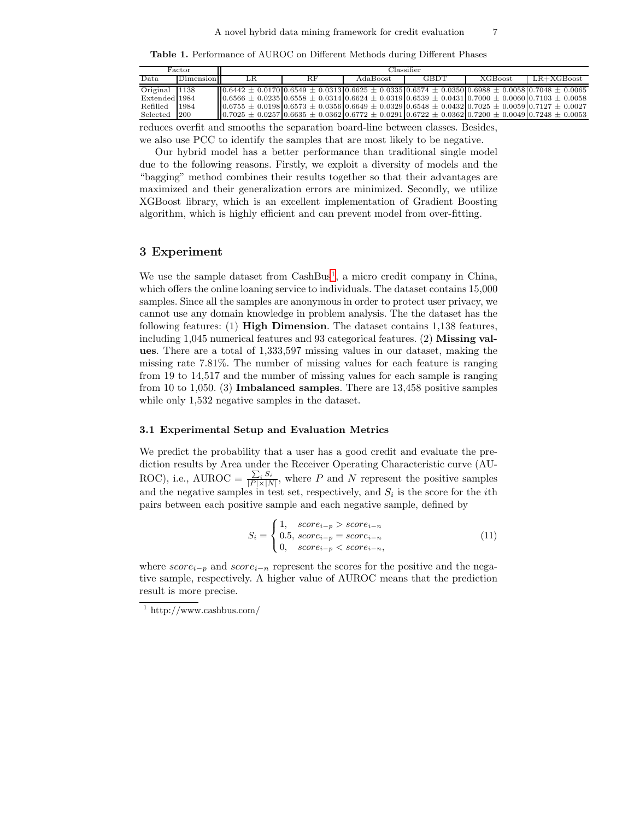<span id="page-6-2"></span>Table 1. Performance of AUROC on Different Methods during Different Phases

| Factor        |           | Classifier                                                                                                                          |           |          |      |         |               |
|---------------|-----------|-------------------------------------------------------------------------------------------------------------------------------------|-----------|----------|------|---------|---------------|
| Data          | Dimension | LR                                                                                                                                  | <b>RF</b> | AdaBoost | GBDT | XGBoost | $LR+XGB$ oost |
| Original      | 1138      | $[0.6442 \pm 0.0170]$ $0.6549 \pm 0.0313]$ $0.6625 \pm 0.0335]$ $0.6574 \pm 0.0350]$ $0.6988 \pm 0.0058]$ $0.7048 \pm 0.0065$       |           |          |      |         |               |
| Extended 1984 |           | $(0.6566 \pm 0.0235)$ $(0.6558 \pm 0.0314)$ $(0.6624 \pm 0.0319)$ $(0.6539 \pm 0.0431)$ $(0.7000 \pm 0.0060)$ $(0.7103 \pm 0.0058)$ |           |          |      |         |               |
| Refilled      | 1984      | $(0.6755 \pm 0.0198)0.6573 \pm 0.0356)0.6649 \pm 0.0329)0.6548 \pm 0.0432)0.7025 \pm 0.0059)0.7127 \pm 0.0027$                      |           |          |      |         |               |
| Selected      | 200       | $(0.7025 \pm 0.0257)0.6635 \pm 0.0362)0.6772 \pm 0.0291)0.6722 \pm 0.0362)0.7200 \pm 0.0049)0.7248 \pm 0.0053$                      |           |          |      |         |               |

reduces overfit and smooths the separation board-line between classes. Besides, we also use PCC to identify the samples that are most likely to be negative.

Our hybrid model has a better performance than traditional single model due to the following reasons. Firstly, we exploit a diversity of models and the "bagging" method combines their results together so that their advantages are maximized and their generalization errors are minimized. Secondly, we utilize XGBoost library, which is an excellent implementation of Gradient Boosting algorithm, which is highly efficient and can prevent model from over-fitting.

# <span id="page-6-0"></span>3 Experiment

We use the sample dataset from CashBus<sup>[1](#page-6-1)</sup>, a micro credit company in China, which offers the online loaning service to individuals. The dataset contains 15,000 samples. Since all the samples are anonymous in order to protect user privacy, we cannot use any domain knowledge in problem analysis. The the dataset has the following features:  $(1)$  High Dimension. The dataset contains 1,138 features, including 1,045 numerical features and 93 categorical features. (2) Missing values. There are a total of 1,333,597 missing values in our dataset, making the missing rate 7.81%. The number of missing values for each feature is ranging from 19 to 14,517 and the number of missing values for each sample is ranging from 10 to 1,050. (3) Imbalanced samples. There are 13,458 positive samples while only 1,532 negative samples in the dataset.

#### 3.1 Experimental Setup and Evaluation Metrics

We predict the probability that a user has a good credit and evaluate the prediction results by Area under the Receiver Operating Characteristic curve (AU-ROC), i.e., AUROC =  $\frac{\sum_i S_i}{|P| \times |N|}$ , where P and N represent the positive samples and the negative samples in test set, respectively, and  $S_i$  is the score for the *i*th pairs between each positive sample and each negative sample, defined by

$$
S_i = \begin{cases} 1, & score_{i-p} > score_{i-n} \\ 0.5, & score_{i-p} = score_{i-n} \\ 0, & score_{i-p} < score_{i-n}, \end{cases}
$$
(11)

where  $score_{i-p}$  and  $score_{i-n}$  represent the scores for the positive and the negative sample, respectively. A higher value of AUROC means that the prediction result is more precise.

<span id="page-6-1"></span><sup>1</sup> http://www.cashbus.com/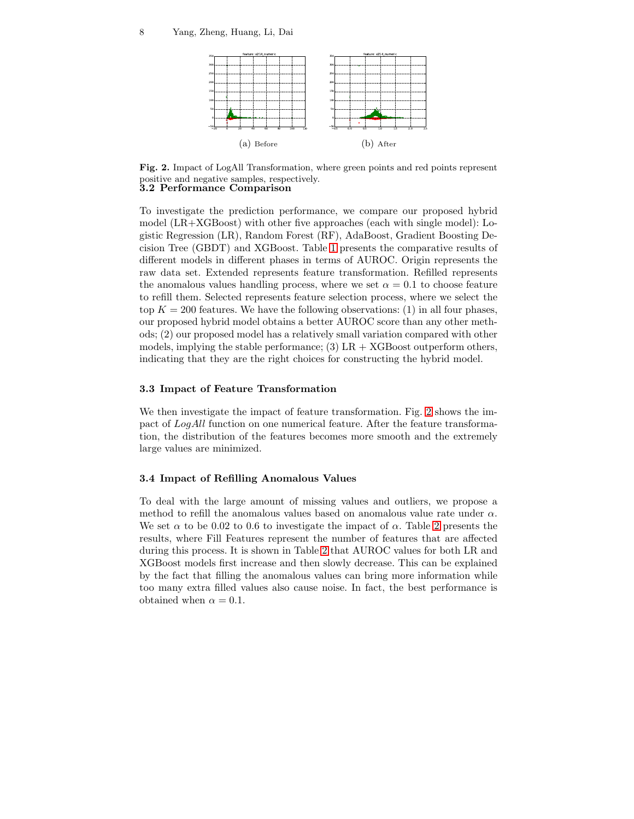

<span id="page-7-0"></span>Fig. 2. Impact of LogAll Transformation, where green points and red points represent positive and negative samples, respectively. 3.2 Performance Comparison

To investigate the prediction performance, we compare our proposed hybrid model (LR+XGBoost) with other five approaches (each with single model): Logistic Regression (LR), Random Forest (RF), AdaBoost, Gradient Boosting Decision Tree (GBDT) and XGBoost. Table [1](#page-6-2) presents the comparative results of different models in different phases in terms of AUROC. Origin represents the raw data set. Extended represents feature transformation. Refilled represents the anomalous values handling process, where we set  $\alpha = 0.1$  to choose feature to refill them. Selected represents feature selection process, where we select the top  $K = 200$  features. We have the following observations: (1) in all four phases, our proposed hybrid model obtains a better AUROC score than any other methods; (2) our proposed model has a relatively small variation compared with other models, implying the stable performance; (3)  $LR + XGB$ oost outperform others, indicating that they are the right choices for constructing the hybrid model.

### 3.3 Impact of Feature Transformation

We then investigate the impact of feature transformation. Fig. [2](#page-7-0) shows the impact of LogAll function on one numerical feature. After the feature transformation, the distribution of the features becomes more smooth and the extremely large values are minimized.

### 3.4 Impact of Refilling Anomalous Values

To deal with the large amount of missing values and outliers, we propose a method to refill the anomalous values based on anomalous value rate under  $\alpha$ . We set  $\alpha$  to be 0.02 to 0.6 to investigate the impact of  $\alpha$ . Table [2](#page-8-1) presents the results, where Fill Features represent the number of features that are affected during this process. It is shown in Table [2](#page-8-1) that AUROC values for both LR and XGBoost models first increase and then slowly decrease. This can be explained by the fact that filling the anomalous values can bring more information while too many extra filled values also cause noise. In fact, the best performance is obtained when  $\alpha = 0.1$ .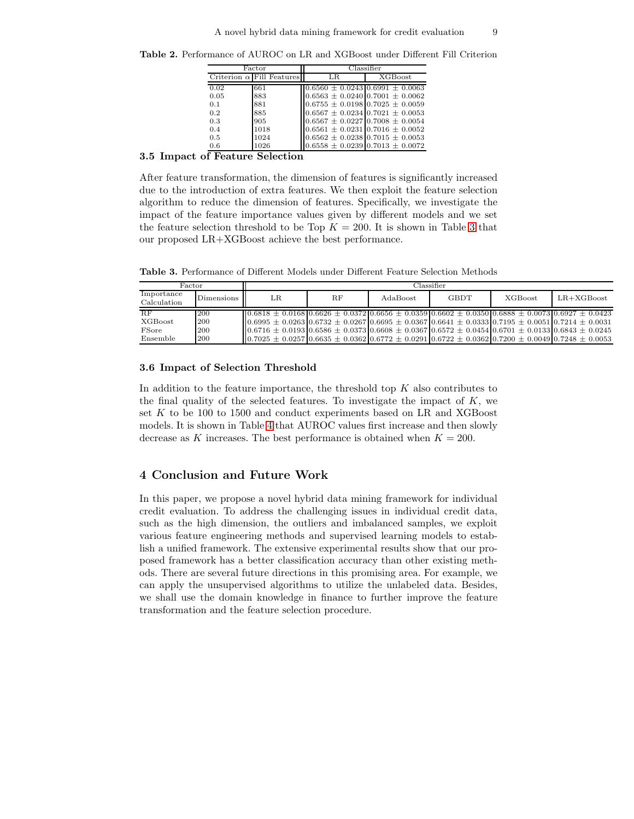Table 2. Performance of AUROC on LR and XGBoost under Different Fill Criterion

<span id="page-8-1"></span>

|      | Factor                           | Classifier                                   |                |  |
|------|----------------------------------|----------------------------------------------|----------------|--|
|      | Criterion $\alpha$ Fill Features | LR.                                          | <b>XGBoost</b> |  |
| 0.02 | 661                              | $0.6560 \pm 0.0243$ 0.6991 $\pm$ 0.0063      |                |  |
| 0.05 | 883                              | $0.6563 \pm 0.0240$ 0.7001 $\pm$ 0.0062      |                |  |
| 0.1  | 881                              | $0.6755 \pm 0.0198$ 0.7025 $\pm$ 0.0059      |                |  |
| 0.2  | 885                              | $0.6567 \pm 0.0234 \times 0.7021 \pm 0.0053$ |                |  |
| 0.3  | 905                              | $0.6567 \pm 0.0227$ 0.7008 $\pm$ 0.0054      |                |  |
| 0.4  | 1018                             | $0.6561 \pm 0.0231$ 0.7016 $\pm$ 0.0052      |                |  |
| 0.5  | 1024                             | $0.6562 \pm 0.0238$ 0.7015 $\pm$ 0.0053      |                |  |
| 0.6  | 1026                             | $0.6558 \pm 0.0239$ 0.7013 $\pm$ 0.0072      |                |  |

#### 3.5 Impact of Feature Selection

After feature transformation, the dimension of features is significantly increased due to the introduction of extra features. We then exploit the feature selection algorithm to reduce the dimension of features. Specifically, we investigate the impact of the feature importance values given by different models and we set the feature selection threshold to be Top  $K = 200$ . It is shown in Table [3](#page-8-2) that our proposed LR+XGBoost achieve the best performance.

<span id="page-8-2"></span>Table 3. Performance of Different Models under Different Feature Selection Methods

| Factor                    |                   | Classifier                                                                                                                    |             |          |             |                 |               |
|---------------------------|-------------------|-------------------------------------------------------------------------------------------------------------------------------|-------------|----------|-------------|-----------------|---------------|
| Importance<br>Calculation | <b>Dimensions</b> | LR                                                                                                                            | $_{\rm RF}$ | AdaBoost | <b>GBDT</b> | <b>XGB</b> oost | $LR+XGB$ oost |
| $_{\rm RF}$               | 200               | $[0.6818 \pm 0.0168]0.6626 \pm 0.0372]0.6656 \pm 0.0359]0.6602 \pm 0.0350]0.6888 \pm 0.0073]0.6927 \pm 0.0423$                |             |          |             |                 |               |
| <b>XGBoost</b>            | 200               | $[0.6995 \pm 0.0263]$ 0.6732 $\pm$ 0.0267 $[0.6695 \pm 0.0367]$ 0.6641 $\pm$ 0.0333 $[0.7195 \pm 0.0051]$ 0.7214 $\pm$ 0.0031 |             |          |             |                 |               |
| FSore                     | 200               | $10.6716 \pm 0.019310.6586 \pm 0.037310.6608 \pm 0.036710.6572 \pm 0.045410.6701 \pm 0.013310.6843 \pm 0.0245$                |             |          |             |                 |               |
| Ensemble                  | 200               | $[0.7025 \pm 0.0257]$ 0.6635 $\pm$ 0.0362 $[0.6772 \pm 0.0291]$ 0.6722 $\pm$ 0.0362 $[0.7200 \pm 0.0049]$ 0.7248 $\pm$ 0.0053 |             |          |             |                 |               |

#### 3.6 Impact of Selection Threshold

In addition to the feature importance, the threshold top  $K$  also contributes to the final quality of the selected features. To investigate the impact of  $K$ , we set K to be 100 to 1500 and conduct experiments based on LR and XGBoost models. It is shown in Table [4](#page-9-12) that AUROC values first increase and then slowly decrease as K increases. The best performance is obtained when  $K = 200$ .

# <span id="page-8-0"></span>4 Conclusion and Future Work

In this paper, we propose a novel hybrid data mining framework for individual credit evaluation. To address the challenging issues in individual credit data, such as the high dimension, the outliers and imbalanced samples, we exploit various feature engineering methods and supervised learning models to establish a unified framework. The extensive experimental results show that our proposed framework has a better classification accuracy than other existing methods. There are several future directions in this promising area. For example, we can apply the unsupervised algorithms to utilize the unlabeled data. Besides, we shall use the domain knowledge in finance to further improve the feature transformation and the feature selection procedure.